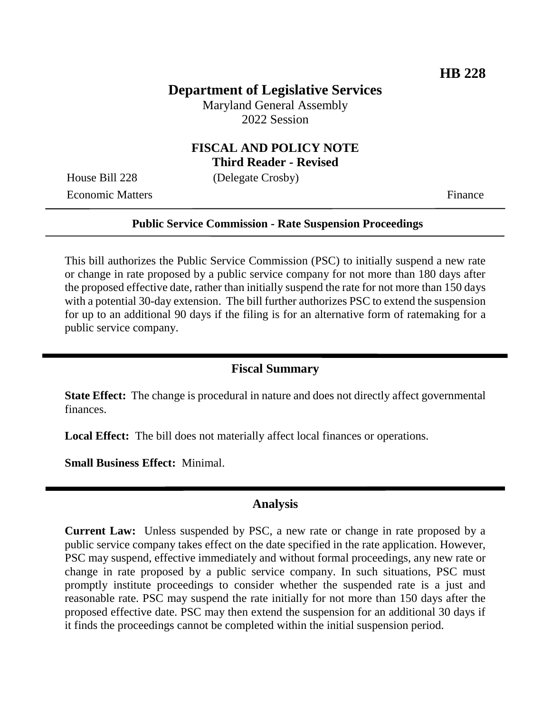# **Department of Legislative Services**

Maryland General Assembly 2022 Session

## **FISCAL AND POLICY NOTE Third Reader - Revised**

House Bill 228 (Delegate Crosby)

Economic Matters Finance

#### **Public Service Commission - Rate Suspension Proceedings**

This bill authorizes the Public Service Commission (PSC) to initially suspend a new rate or change in rate proposed by a public service company for not more than 180 days after the proposed effective date, rather than initially suspend the rate for not more than 150 days with a potential 30-day extension. The bill further authorizes PSC to extend the suspension for up to an additional 90 days if the filing is for an alternative form of ratemaking for a public service company.

### **Fiscal Summary**

**State Effect:** The change is procedural in nature and does not directly affect governmental finances.

**Local Effect:** The bill does not materially affect local finances or operations.

**Small Business Effect:** Minimal.

#### **Analysis**

**Current Law:** Unless suspended by PSC, a new rate or change in rate proposed by a public service company takes effect on the date specified in the rate application. However, PSC may suspend, effective immediately and without formal proceedings, any new rate or change in rate proposed by a public service company. In such situations, PSC must promptly institute proceedings to consider whether the suspended rate is a just and reasonable rate. PSC may suspend the rate initially for not more than 150 days after the proposed effective date. PSC may then extend the suspension for an additional 30 days if it finds the proceedings cannot be completed within the initial suspension period.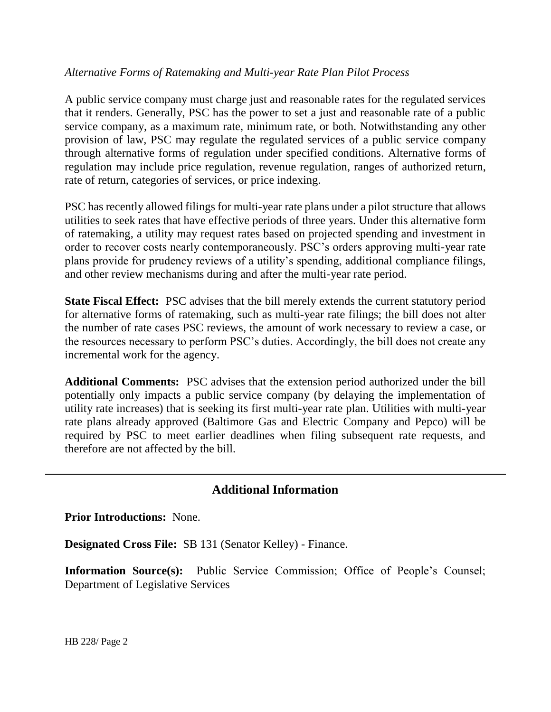### *Alternative Forms of Ratemaking and Multi-year Rate Plan Pilot Process*

A public service company must charge just and reasonable rates for the regulated services that it renders. Generally, PSC has the power to set a just and reasonable rate of a public service company, as a maximum rate, minimum rate, or both. Notwithstanding any other provision of law, PSC may regulate the regulated services of a public service company through alternative forms of regulation under specified conditions. Alternative forms of regulation may include price regulation, revenue regulation, ranges of authorized return, rate of return, categories of services, or price indexing.

PSC has recently allowed filings for multi-year rate plans under a pilot structure that allows utilities to seek rates that have effective periods of three years. Under this alternative form of ratemaking, a utility may request rates based on projected spending and investment in order to recover costs nearly contemporaneously. PSC's orders approving multi-year rate plans provide for prudency reviews of a utility's spending, additional compliance filings, and other review mechanisms during and after the multi-year rate period.

**State Fiscal Effect:** PSC advises that the bill merely extends the current statutory period for alternative forms of ratemaking, such as multi-year rate filings; the bill does not alter the number of rate cases PSC reviews, the amount of work necessary to review a case, or the resources necessary to perform PSC's duties. Accordingly, the bill does not create any incremental work for the agency.

**Additional Comments:** PSC advises that the extension period authorized under the bill potentially only impacts a public service company (by delaying the implementation of utility rate increases) that is seeking its first multi-year rate plan. Utilities with multi-year rate plans already approved (Baltimore Gas and Electric Company and Pepco) will be required by PSC to meet earlier deadlines when filing subsequent rate requests, and therefore are not affected by the bill.

## **Additional Information**

**Prior Introductions:** None.

**Designated Cross File:** SB 131 (Senator Kelley) - Finance.

**Information Source(s):** Public Service Commission; Office of People's Counsel; Department of Legislative Services